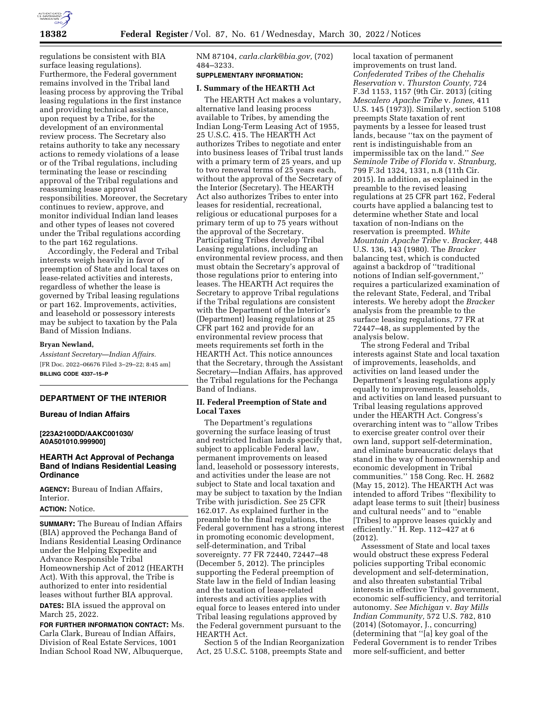

regulations be consistent with BIA surface leasing regulations). Furthermore, the Federal government remains involved in the Tribal land leasing process by approving the Tribal leasing regulations in the first instance and providing technical assistance, upon request by a Tribe, for the development of an environmental review process. The Secretary also retains authority to take any necessary actions to remedy violations of a lease or of the Tribal regulations, including terminating the lease or rescinding approval of the Tribal regulations and reassuming lease approval responsibilities. Moreover, the Secretary continues to review, approve, and monitor individual Indian land leases and other types of leases not covered under the Tribal regulations according to the part 162 regulations.

Accordingly, the Federal and Tribal interests weigh heavily in favor of preemption of State and local taxes on lease-related activities and interests, regardless of whether the lease is governed by Tribal leasing regulations or part 162. Improvements, activities, and leasehold or possessory interests may be subject to taxation by the Pala Band of Mission Indians.

#### **Bryan Newland,**

*Assistant Secretary—Indian Affairs.*  [FR Doc. 2022–06676 Filed 3–29–22; 8:45 am] **BILLING CODE 4337–15–P** 

# **DEPARTMENT OF THE INTERIOR**

## **Bureau of Indian Affairs**

### **[223A2100DD/AAKC001030/ A0A501010.999900]**

# **HEARTH Act Approval of Pechanga Band of Indians Residential Leasing Ordinance**

**AGENCY:** Bureau of Indian Affairs, **Interior** 

### **ACTION:** Notice.

**SUMMARY:** The Bureau of Indian Affairs (BIA) approved the Pechanga Band of Indians Residential Leasing Ordinance under the Helping Expedite and Advance Responsible Tribal Homeownership Act of 2012 (HEARTH Act). With this approval, the Tribe is authorized to enter into residential leases without further BIA approval.

**DATES:** BIA issued the approval on March 25, 2022.

**FOR FURTHER INFORMATION CONTACT:** Ms. Carla Clark, Bureau of Indian Affairs, Division of Real Estate Services, 1001 Indian School Road NW, Albuquerque,

NM 87104, *[carla.clark@bia.gov,](mailto:carla.clark@bia.gov)* (702) 484–3233.

# **SUPPLEMENTARY INFORMATION:**

## **I. Summary of the HEARTH Act**

The HEARTH Act makes a voluntary, alternative land leasing process available to Tribes, by amending the Indian Long-Term Leasing Act of 1955, 25 U.S.C. 415. The HEARTH Act authorizes Tribes to negotiate and enter into business leases of Tribal trust lands with a primary term of 25 years, and up to two renewal terms of 25 years each, without the approval of the Secretary of the Interior (Secretary). The HEARTH Act also authorizes Tribes to enter into leases for residential, recreational, religious or educational purposes for a primary term of up to 75 years without the approval of the Secretary. Participating Tribes develop Tribal Leasing regulations, including an environmental review process, and then must obtain the Secretary's approval of those regulations prior to entering into leases. The HEARTH Act requires the Secretary to approve Tribal regulations if the Tribal regulations are consistent with the Department of the Interior's (Department) leasing regulations at 25 CFR part 162 and provide for an environmental review process that meets requirements set forth in the HEARTH Act. This notice announces that the Secretary, through the Assistant Secretary—Indian Affairs, has approved the Tribal regulations for the Pechanga Band of Indians.

# **II. Federal Preemption of State and Local Taxes**

The Department's regulations governing the surface leasing of trust and restricted Indian lands specify that, subject to applicable Federal law, permanent improvements on leased land, leasehold or possessory interests, and activities under the lease are not subject to State and local taxation and may be subject to taxation by the Indian Tribe with jurisdiction. See 25 CFR 162.017. As explained further in the preamble to the final regulations, the Federal government has a strong interest in promoting economic development, self-determination, and Tribal sovereignty. 77 FR 72440, 72447–48 (December 5, 2012). The principles supporting the Federal preemption of State law in the field of Indian leasing and the taxation of lease-related interests and activities applies with equal force to leases entered into under Tribal leasing regulations approved by the Federal government pursuant to the HEARTH Act.

Section 5 of the Indian Reorganization Act, 25 U.S.C. 5108, preempts State and

local taxation of permanent improvements on trust land. *Confederated Tribes of the Chehalis Reservation* v. *Thurston County,* 724 F.3d 1153, 1157 (9th Cir. 2013) (citing *Mescalero Apache Tribe* v. *Jones,* 411 U.S. 145 (1973)). Similarly, section 5108 preempts State taxation of rent payments by a lessee for leased trust lands, because "tax on the payment of rent is indistinguishable from an impermissible tax on the land.'' *See Seminole Tribe of Florida* v. *Stranburg,*  799 F.3d 1324, 1331, n.8 (11th Cir. 2015). In addition, as explained in the preamble to the revised leasing regulations at 25 CFR part 162, Federal courts have applied a balancing test to determine whether State and local taxation of non-Indians on the reservation is preempted. *White Mountain Apache Tribe* v. *Bracker,* 448 U.S. 136, 143 (1980). The *Bracker*  balancing test, which is conducted against a backdrop of ''traditional notions of Indian self-government,'' requires a particularized examination of the relevant State, Federal, and Tribal interests. We hereby adopt the *Bracker*  analysis from the preamble to the surface leasing regulations, 77 FR at 72447–48, as supplemented by the analysis below.

The strong Federal and Tribal interests against State and local taxation of improvements, leaseholds, and activities on land leased under the Department's leasing regulations apply equally to improvements, leaseholds, and activities on land leased pursuant to Tribal leasing regulations approved under the HEARTH Act. Congress's overarching intent was to ''allow Tribes to exercise greater control over their own land, support self-determination, and eliminate bureaucratic delays that stand in the way of homeownership and economic development in Tribal communities.'' 158 Cong. Rec. H. 2682 (May 15, 2012). The HEARTH Act was intended to afford Tribes ''flexibility to adapt lease terms to suit [their] business and cultural needs'' and to ''enable [Tribes] to approve leases quickly and efficiently.'' H. Rep. 112–427 at 6 (2012).

Assessment of State and local taxes would obstruct these express Federal policies supporting Tribal economic development and self-determination, and also threaten substantial Tribal interests in effective Tribal government, economic self-sufficiency, and territorial autonomy. *See Michigan* v. *Bay Mills Indian Community,* 572 U.S. 782, 810 (2014) (Sotomayor, J., concurring) (determining that ''[a] key goal of the Federal Government is to render Tribes more self-sufficient, and better